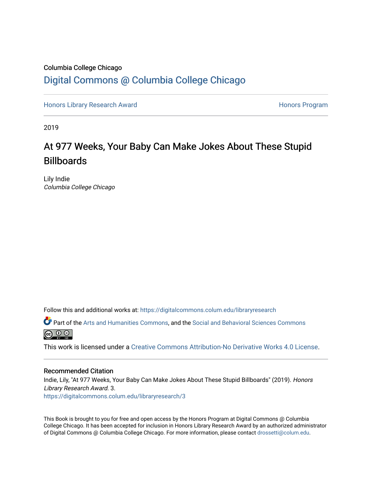### Columbia College Chicago [Digital Commons @ Columbia College Chicago](https://digitalcommons.colum.edu/)

[Honors Library Research Award](https://digitalcommons.colum.edu/libraryresearch) **Honors Program** Honors Program

2019

# At 977 Weeks, Your Baby Can Make Jokes About These Stupid **Billboards**

Lily Indie Columbia College Chicago

Follow this and additional works at: [https://digitalcommons.colum.edu/libraryresearch](https://digitalcommons.colum.edu/libraryresearch?utm_source=digitalcommons.colum.edu%2Flibraryresearch%2F3&utm_medium=PDF&utm_campaign=PDFCoverPages) 

Part of the [Arts and Humanities Commons,](http://network.bepress.com/hgg/discipline/438?utm_source=digitalcommons.colum.edu%2Flibraryresearch%2F3&utm_medium=PDF&utm_campaign=PDFCoverPages) and the [Social and Behavioral Sciences Commons](http://network.bepress.com/hgg/discipline/316?utm_source=digitalcommons.colum.edu%2Flibraryresearch%2F3&utm_medium=PDF&utm_campaign=PDFCoverPages)  $\circledcirc$ 

This work is licensed under a [Creative Commons Attribution-No Derivative Works 4.0 License.](https://creativecommons.org/licenses/by-nd/4.0/)

#### Recommended Citation

Indie, Lily, "At 977 Weeks, Your Baby Can Make Jokes About These Stupid Billboards" (2019). Honors Library Research Award. 3.

[https://digitalcommons.colum.edu/libraryresearch/3](https://digitalcommons.colum.edu/libraryresearch/3?utm_source=digitalcommons.colum.edu%2Flibraryresearch%2F3&utm_medium=PDF&utm_campaign=PDFCoverPages)

This Book is brought to you for free and open access by the Honors Program at Digital Commons @ Columbia College Chicago. It has been accepted for inclusion in Honors Library Research Award by an authorized administrator of Digital Commons @ Columbia College Chicago. For more information, please contact [drossetti@colum.edu](mailto:drossetti@colum.edu).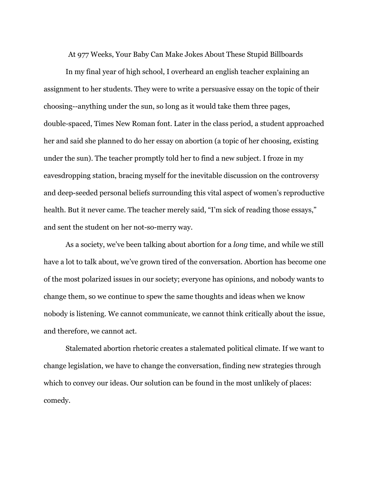At 977 Weeks, Your Baby Can Make Jokes About These Stupid Billboards

In my final year of high school, I overheard an english teacher explaining an assignment to her students. They were to write a persuasive essay on the topic of their choosing--anything under the sun, so long as it would take them three pages, double-spaced, Times New Roman font. Later in the class period, a student approached her and said she planned to do her essay on abortion (a topic of her choosing, existing under the sun). The teacher promptly told her to find a new subject. I froze in my eavesdropping station, bracing myself for the inevitable discussion on the controversy and deep-seeded personal beliefs surrounding this vital aspect of women's reproductive health. But it never came. The teacher merely said, "I'm sick of reading those essays," and sent the student on her not-so-merry way.

As a society, we've been talking about abortion for a *long* time, and while we still have a lot to talk about, we've grown tired of the conversation. Abortion has become one of the most polarized issues in our society; everyone has opinions, and nobody wants to change them, so we continue to spew the same thoughts and ideas when we know nobody is listening. We cannot communicate, we cannot think critically about the issue, and therefore, we cannot act.

Stalemated abortion rhetoric creates a stalemated political climate. If we want to change legislation, we have to change the conversation, finding new strategies through which to convey our ideas. Our solution can be found in the most unlikely of places: comedy.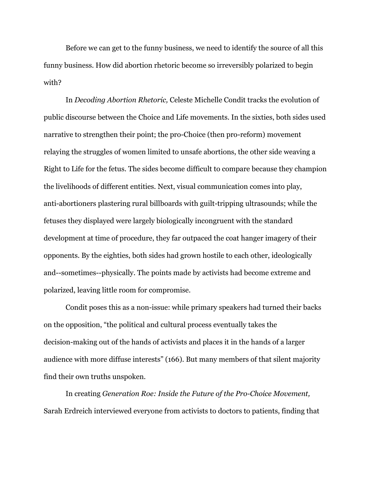Before we can get to the funny business, we need to identify the source of all this funny business. How did abortion rhetoric become so irreversibly polarized to begin with?

In *Decoding Abortion Rhetoric,* Celeste Michelle Condit tracks the evolution of public discourse between the Choice and Life movements. In the sixties, both sides used narrative to strengthen their point; the pro-Choice (then pro-reform) movement relaying the struggles of women limited to unsafe abortions, the other side weaving a Right to Life for the fetus. The sides become difficult to compare because they champion the livelihoods of different entities. Next, visual communication comes into play, anti-abortioners plastering rural billboards with guilt-tripping ultrasounds; while the fetuses they displayed were largely biologically incongruent with the standard development at time of procedure, they far outpaced the coat hanger imagery of their opponents. By the eighties, both sides had grown hostile to each other, ideologically and--sometimes--physically. The points made by activists had become extreme and polarized, leaving little room for compromise.

Condit poses this as a non-issue: while primary speakers had turned their backs on the opposition, "the political and cultural process eventually takes the decision-making out of the hands of activists and places it in the hands of a larger audience with more diffuse interests" (166). But many members of that silent majority find their own truths unspoken.

In creating *Generation Roe: Inside the Future of the Pro-Choice Movement,* Sarah Erdreich interviewed everyone from activists to doctors to patients, finding that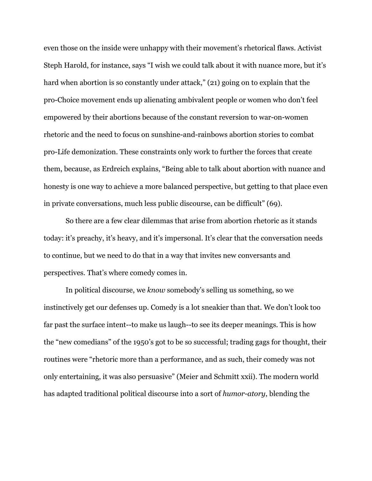even those on the inside were unhappy with their movement's rhetorical flaws. Activist Steph Harold, for instance, says "I wish we could talk about it with nuance more, but it's hard when abortion is so constantly under attack," (21) going on to explain that the pro-Choice movement ends up alienating ambivalent people or women who don't feel empowered by their abortions because of the constant reversion to war-on-women rhetoric and the need to focus on sunshine-and-rainbows abortion stories to combat pro-Life demonization. These constraints only work to further the forces that create them, because, as Erdreich explains, "Being able to talk about abortion with nuance and honesty is one way to achieve a more balanced perspective, but getting to that place even in private conversations, much less public discourse, can be difficult" (69).

So there are a few clear dilemmas that arise from abortion rhetoric as it stands today: it's preachy, it's heavy, and it's impersonal. It's clear that the conversation needs to continue, but we need to do that in a way that invites new conversants and perspectives. That's where comedy comes in.

In political discourse, we *know* somebody's selling us something, so we instinctively get our defenses up. Comedy is a lot sneakier than that. We don't look too far past the surface intent--to make us laugh--to see its deeper meanings. This is how the "new comedians" of the 1950's got to be so successful; trading gags for thought, their routines were "rhetoric more than a performance, and as such, their comedy was not only entertaining, it was also persuasive" (Meier and Schmitt xxii). The modern world has adapted traditional political discourse into a sort of *humor-atory*, blending the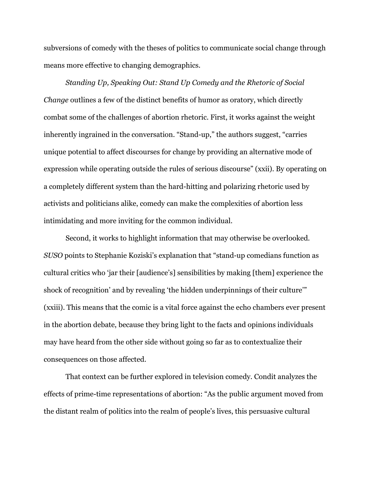subversions of comedy with the theses of politics to communicate social change through means more effective to changing demographics.

*Standing Up, Speaking Out: Stand Up Comedy and the Rhetoric of Social Change* outlines a few of the distinct benefits of humor as oratory, which directly combat some of the challenges of abortion rhetoric. First, it works against the weight inherently ingrained in the conversation. "Stand-up," the authors suggest, "carries unique potential to affect discourses for change by providing an alternative mode of expression while operating outside the rules of serious discourse" (xxii). By operating on a completely different system than the hard-hitting and polarizing rhetoric used by activists and politicians alike, comedy can make the complexities of abortion less intimidating and more inviting for the common individual.

Second, it works to highlight information that may otherwise be overlooked. *SUSO* points to Stephanie Koziski's explanation that "stand-up comedians function as cultural critics who 'jar their [audience's] sensibilities by making [them] experience the shock of recognition' and by revealing 'the hidden underpinnings of their culture'" (xxiii). This means that the comic is a vital force against the echo chambers ever present in the abortion debate, because they bring light to the facts and opinions individuals may have heard from the other side without going so far as to contextualize their consequences on those affected.

That context can be further explored in television comedy. Condit analyzes the effects of prime-time representations of abortion: "As the public argument moved from the distant realm of politics into the realm of people's lives, this persuasive cultural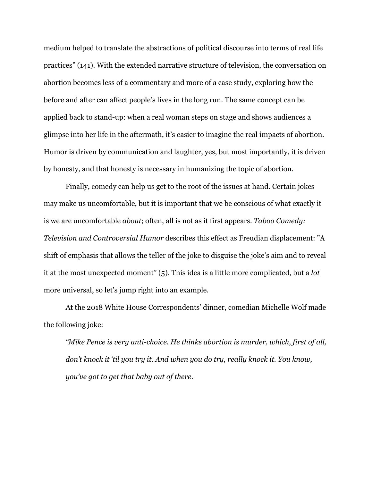medium helped to translate the abstractions of political discourse into terms of real life practices" (141). With the extended narrative structure of television, the conversation on abortion becomes less of a commentary and more of a case study, exploring how the before and after can affect people's lives in the long run. The same concept can be applied back to stand-up: when a real woman steps on stage and shows audiences a glimpse into her life in the aftermath, it's easier to imagine the real impacts of abortion. Humor is driven by communication and laughter, yes, but most importantly, it is driven by honesty, and that honesty is necessary in humanizing the topic of abortion.

Finally, comedy can help us get to the root of the issues at hand. Certain jokes may make us uncomfortable, but it is important that we be conscious of what exactly it is we are uncomfortable *about*; often, all is not as it first appears. *Taboo Comedy: Television and Controversial Humor* describes this effect as Freudian displacement: "A shift of emphasis that allows the teller of the joke to disguise the joke's aim and to reveal it at the most unexpected moment" (5). This idea is a little more complicated, but a *lot*  more universal, so let's jump right into an example.

At the 2018 White House Correspondents' dinner, comedian Michelle Wolf made the following joke:

*"Mike Pence is very anti-choice. He thinks abortion is murder, which, first of all, don't knock it 'til you try it. And when you do try, really knock it. You know, you've got to get that baby out of there.*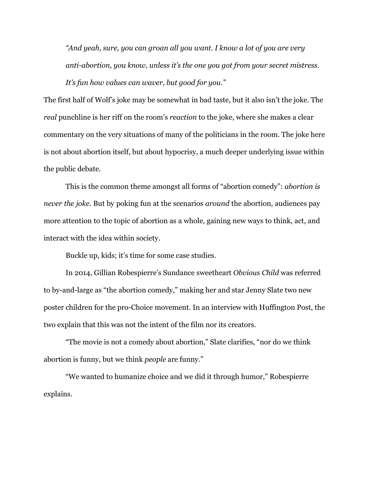*"And yeah, sure, you can groan all you want. I know a lot of you are very anti-abortion, you know, unless it's the one you got from your secret mistress. It's fun how values can waver, but good for you."*

The first half of Wolf's joke may be somewhat in bad taste, but it also isn't the joke. The *real* punchline is her riff on the room's *reaction* to the joke, where she makes a clear commentary on the very situations of many of the politicians in the room. The joke here is not about abortion itself, but about hypocrisy, a much deeper underlying issue within the public debate.

This is the common theme amongst all forms of "abortion comedy": *abortion is never the joke.* But by poking fun at the scenarios *around* the abortion, audiences pay more attention to the topic of abortion as a whole, gaining new ways to think, act, and interact with the idea within society.

Buckle up, kids; it's time for some case studies.

In 2014, Gillian Robespierre's Sundance sweetheart *Obvious Child* was referred to by-and-large as "the abortion comedy," making her and star Jenny Slate two new poster children for the pro-Choice movement. In an interview with Huffington Post, the two explain that this was not the intent of the film nor its creators.

"The movie is not a comedy about abortion," Slate clarifies, "nor do we think abortion is funny, but we think *people* are funny."

"We wanted to humanize choice and we did it through humor," Robespierre explains.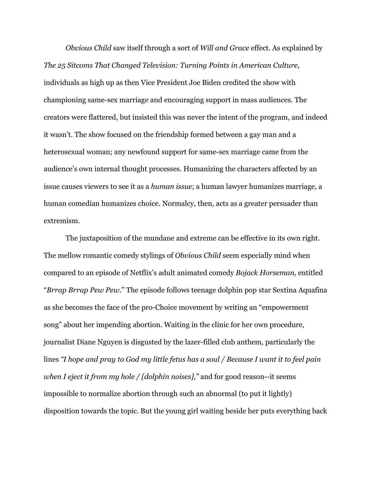*Obvious Child* saw itself through a sort of *Will and Grace* effect. As explained by *The 25 Sitcoms That Changed Television: Turning Points in American Culture,*  individuals as high up as then Vice President Joe Biden credited the show with championing same-sex marriage and encouraging support in mass audiences. The creators were flattered, but insisted this was never the intent of the program, and indeed it wasn't. The show focused on the friendship formed between a gay man and a heterosexual woman; any newfound support for same-sex marriage came from the audience's own internal thought processes. Humanizing the characters affected by an issue causes viewers to see it as a *human issue*; a human lawyer humanizes marriage, a human comedian humanizes choice. Normalcy, then, acts as a greater persuader than extremism.

The juxtaposition of the mundane and extreme can be effective in its own right. The mellow romantic comedy stylings of *Obvious Child* seem especially mind when compared to an episode of Netflix's adult animated comedy *Bojack Horseman,* entitled "*Brrap Brrap Pew Pew*." The episode follows teenage dolphin pop star Sextina Aquafina as she becomes the face of the pro-Choice movement by writing an "empowerment song" about her impending abortion. Waiting in the clinic for her own procedure, journalist Diane Nguyen is disgusted by the lazer-filled club anthem, particularly the lines *"I hope and pray to God my little fetus has a soul / Because I want it to feel pain when I eject it from my hole / [dolphin noises],"* and for good reason--it seems impossible to normalize abortion through such an abnormal (to put it lightly) disposition towards the topic. But the young girl waiting beside her puts everything back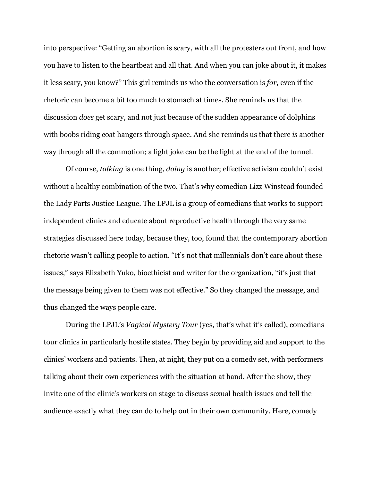into perspective: "Getting an abortion is scary, with all the protesters out front, and how you have to listen to the heartbeat and all that. And when you can joke about it, it makes it less scary, you know?" This girl reminds us who the conversation is *for,* even if the rhetoric can become a bit too much to stomach at times. She reminds us that the discussion *does* get scary, and not just because of the sudden appearance of dolphins with boobs riding coat hangers through space. And she reminds us that there *is* another way through all the commotion; a light joke can be the light at the end of the tunnel.

Of course, *talking* is one thing, *doing* is another; effective activism couldn't exist without a healthy combination of the two. That's why comedian Lizz Winstead founded the Lady Parts Justice League. The LPJL is a group of comedians that works to support independent clinics and educate about reproductive health through the very same strategies discussed here today, because they, too, found that the contemporary abortion rhetoric wasn't calling people to action. "It's not that millennials don't care about these issues," says Elizabeth Yuko, bioethicist and writer for the organization, "it's just that the message being given to them was not effective." So they changed the message, and thus changed the ways people care.

During the LPJL's *Vagical Mystery Tour* (yes, that's what it's called), comedians tour clinics in particularly hostile states. They begin by providing aid and support to the clinics' workers and patients. Then, at night, they put on a comedy set, with performers talking about their own experiences with the situation at hand. After the show, they invite one of the clinic's workers on stage to discuss sexual health issues and tell the audience exactly what they can do to help out in their own community. Here, comedy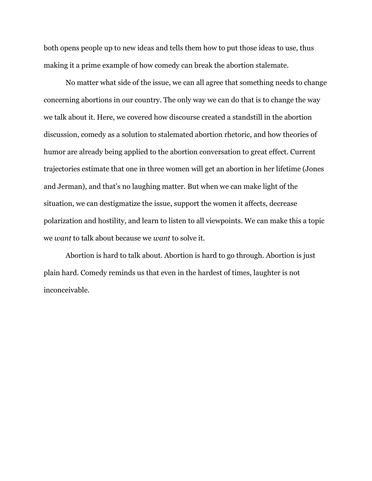both opens people up to new ideas and tells them how to put those ideas to use, thus making it a prime example of how comedy can break the abortion stalemate.

No matter what side of the issue, we can all agree that something needs to change concerning abortions in our country. The only way we can do that is to change the way we talk about it. Here, we covered how discourse created a standstill in the abortion discussion, comedy as a solution to stalemated abortion rhetoric, and how theories of humor are already being applied to the abortion conversation to great effect. Current trajectories estimate that one in three women will get an abortion in her lifetime (Jones and Jerman), and that's no laughing matter. But when we can make light of the situation, we can destigmatize the issue, support the women it affects, decrease polarization and hostility, and learn to listen to all viewpoints. We can make this a topic we *want* to talk about because we *want* to solve it.

Abortion is hard to talk about. Abortion is hard to go through. Abortion is just plain hard. Comedy reminds us that even in the hardest of times, laughter is not inconceivable.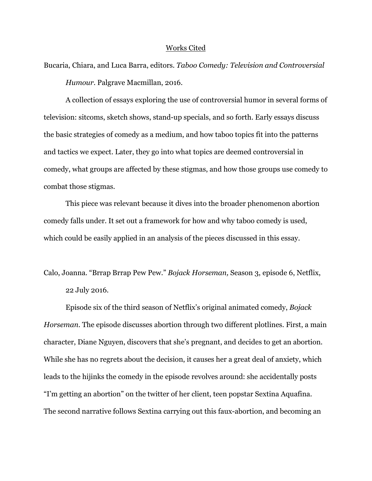#### Works Cited

Bucaria, Chiara, and Luca Barra, editors. *Taboo Comedy: Television and Controversial Humour.* Palgrave Macmillan, 2016.

A collection of essays exploring the use of controversial humor in several forms of television: sitcoms, sketch shows, stand-up specials, and so forth. Early essays discuss the basic strategies of comedy as a medium, and how taboo topics fit into the patterns and tactics we expect. Later, they go into what topics are deemed controversial in comedy, what groups are affected by these stigmas, and how those groups use comedy to combat those stigmas.

This piece was relevant because it dives into the broader phenomenon abortion comedy falls under. It set out a framework for how and why taboo comedy is used, which could be easily applied in an analysis of the pieces discussed in this essay.

# Calo, Joanna. "Brrap Brrap Pew Pew." *Bojack Horseman,* Season 3, episode 6, Netflix, 22 July 2016.

Episode six of the third season of Netflix's original animated comedy, *Bojack Horseman.* The episode discusses abortion through two different plotlines. First, a main character, Diane Nguyen, discovers that she's pregnant, and decides to get an abortion. While she has no regrets about the decision, it causes her a great deal of anxiety, which leads to the hijinks the comedy in the episode revolves around: she accidentally posts "I'm getting an abortion" on the twitter of her client, teen popstar Sextina Aquafina. The second narrative follows Sextina carrying out this faux-abortion, and becoming an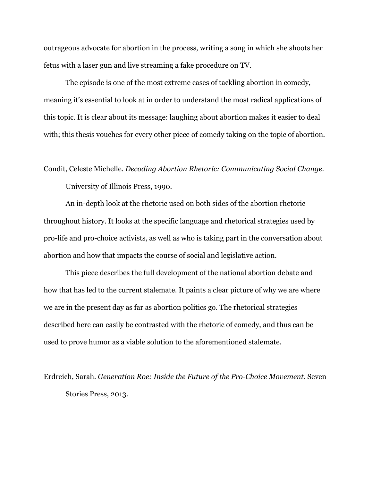outrageous advocate for abortion in the process, writing a song in which she shoots her fetus with a laser gun and live streaming a fake procedure on TV.

The episode is one of the most extreme cases of tackling abortion in comedy, meaning it's essential to look at in order to understand the most radical applications of this topic. It is clear about its message: laughing about abortion makes it easier to deal with; this thesis vouches for every other piece of comedy taking on the topic of abortion.

#### Condit, Celeste Michelle. *Decoding Abortion Rhetoric: Communicating Social Change.*

University of Illinois Press, 1990.

An in-depth look at the rhetoric used on both sides of the abortion rhetoric throughout history. It looks at the specific language and rhetorical strategies used by pro-life and pro-choice activists, as well as who is taking part in the conversation about abortion and how that impacts the course of social and legislative action.

This piece describes the full development of the national abortion debate and how that has led to the current stalemate. It paints a clear picture of why we are where we are in the present day as far as abortion politics go. The rhetorical strategies described here can easily be contrasted with the rhetoric of comedy, and thus can be used to prove humor as a viable solution to the aforementioned stalemate.

Erdreich, Sarah. *Generation Roe: Inside the Future of the Pro-Choice Movement.* Seven Stories Press, 2013.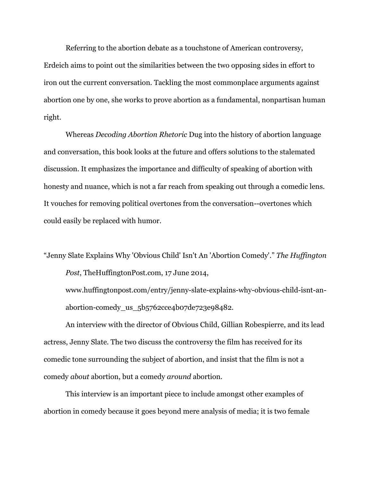Referring to the abortion debate as a touchstone of American controversy, Erdeich aims to point out the similarities between the two opposing sides in effort to iron out the current conversation. Tackling the most commonplace arguments against abortion one by one, she works to prove abortion as a fundamental, nonpartisan human right.

Whereas *Decoding Abortion Rhetoric* Dug into the history of abortion language and conversation, this book looks at the future and offers solutions to the stalemated discussion. It emphasizes the importance and difficulty of speaking of abortion with honesty and nuance, which is not a far reach from speaking out through a comedic lens. It vouches for removing political overtones from the conversation--overtones which could easily be replaced with humor.

"Jenny Slate Explains Why 'Obvious Child' Isn't An 'Abortion Comedy'." *The Huffington Post*, TheHuffingtonPost.com, 17 June 2014,

[www.huffingtonpost.com/entry/jenny-slate-explains-why-obvious-child-isnt-an](http://www.huffingtonpost.com/entry/jenny-slate-explains-why-obvious-child-isnt-an-)abortion-comedy\_us\_5b5762cce4b07de723e98482.

An interview with the director of Obvious Child, Gillian Robespierre, and its lead actress, Jenny Slate. The two discuss the controversy the film has received for its comedic tone surrounding the subject of abortion, and insist that the film is not a comedy *about* abortion, but a comedy *around* abortion.

This interview is an important piece to include amongst other examples of abortion in comedy because it goes beyond mere analysis of media; it is two female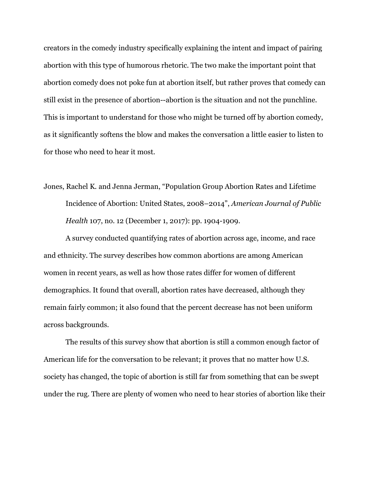creators in the comedy industry specifically explaining the intent and impact of pairing abortion with this type of humorous rhetoric. The two make the important point that abortion comedy does not poke fun at abortion itself, but rather proves that comedy can still exist in the presence of abortion--abortion is the situation and not the punchline. This is important to understand for those who might be turned off by abortion comedy, as it significantly softens the blow and makes the conversation a little easier to listen to for those who need to hear it most.

Jones, Rachel K. and Jenna Jerman, "Population Group Abortion Rates and Lifetime Incidence of Abortion: United States, 2008–2014", *American Journal of Public Health* 107, no. 12 (December 1, 2017): pp. 1904-1909.

A survey conducted quantifying rates of abortion across age, income, and race and ethnicity. The survey describes how common abortions are among American women in recent years, as well as how those rates differ for women of different demographics. It found that overall, abortion rates have decreased, although they remain fairly common; it also found that the percent decrease has not been uniform across backgrounds.

The results of this survey show that abortion is still a common enough factor of American life for the conversation to be relevant; it proves that no matter how U.S. society has changed, the topic of abortion is still far from something that can be swept under the rug. There are plenty of women who need to hear stories of abortion like their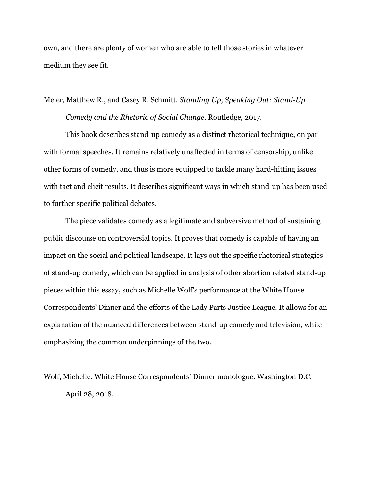own, and there are plenty of women who are able to tell those stories in whatever medium they see fit.

Meier, Matthew R., and Casey R. Schmitt. *Standing Up, Speaking Out: Stand-Up Comedy and the Rhetoric of Social Change.* Routledge, 2017.

This book describes stand-up comedy as a distinct rhetorical technique, on par with formal speeches. It remains relatively unaffected in terms of censorship, unlike other forms of comedy, and thus is more equipped to tackle many hard-hitting issues with tact and elicit results. It describes significant ways in which stand-up has been used to further specific political debates.

The piece validates comedy as a legitimate and subversive method of sustaining public discourse on controversial topics. It proves that comedy is capable of having an impact on the social and political landscape. It lays out the specific rhetorical strategies of stand-up comedy, which can be applied in analysis of other abortion related stand-up pieces within this essay, such as Michelle Wolf's performance at the White House Correspondents' Dinner and the efforts of the Lady Parts Justice League. It allows for an explanation of the nuanced differences between stand-up comedy and television, while emphasizing the common underpinnings of the two.

Wolf, Michelle. White House Correspondents' Dinner monologue. Washington D.C. April 28, 2018.